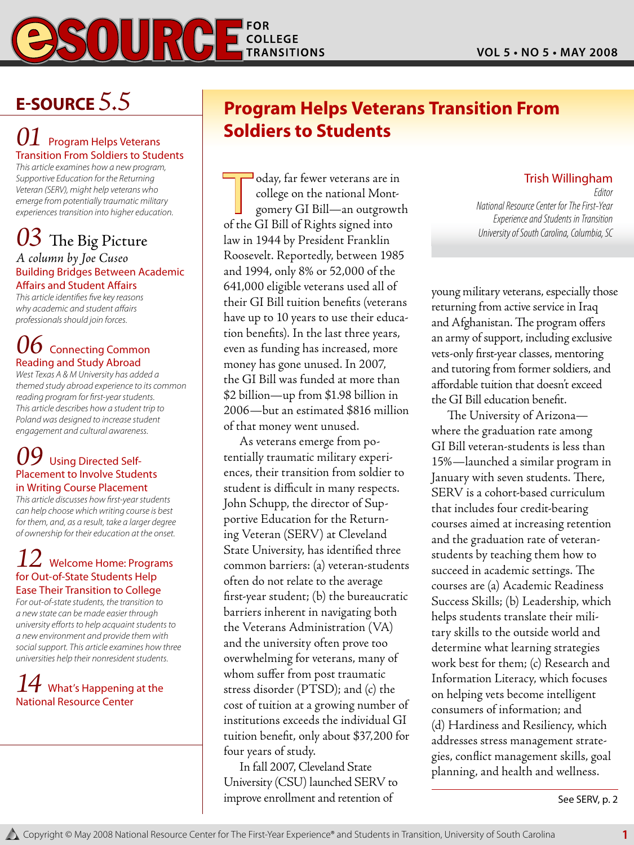

## **E-Source** *5.5*

#### **Program Helps Veterans** Transition From Soldiers to Students

*This article examines how a new program, Supportive Education for the Returning Veteran (SERV), might help veterans who emerge from potentially traumatic military experiences transition into higher education.*

## *03* The Big Picture

#### *A column by Joe Cuseo* Building Bridges Between Academic Affairs and Student Affairs

*This article identifies five key reasons why academic and student affairs professionals should join forces.*

## **Connecting Common** Reading and Study Abroad

*West Texas A & M University has added a themed study abroad experience to its common reading program for first-year students. This article describes how a student trip to Poland was designed to increase student engagement and cultural awareness.*

#### **Using Directed Self-**Placement to Involve Students in Writing Course Placement

*This article discusses how first-year students can help choose which writing course is best for them, and, as a result, take a larger degree of ownership for their education at the onset.*

#### *12* Welcome Home: Programs for Out-of-State Students Help Ease Their Transition to College

*For out-of-state students, the transition to a new state can be made easier through university efforts to help acquaint students to a new environment and provide them with social support. This article examines how three universities help their nonresident students.* 

#### *What's Happening at the* National Resource Center

## **Program Helps Veterans Transition From Soldiers to Students**

Oday, far fewer veterans are in<br>
college on the national Mont-<br>
gomery GI Bill—an outgrowth<br>
of the GI Bill of Bights signed into college on the national Montof the GI Bill of Rights signed into law in 1944 by President Franklin Roosevelt. Reportedly, between 1985 and 1994, only 8% or 52,000 of the 641,000 eligible veterans used all of their GI Bill tuition benefits (veterans have up to 10 years to use their education benefits). In the last three years, even as funding has increased, more money has gone unused. In 2007, the GI Bill was funded at more than \$2 billion—up from \$1.98 billion in 2006—but an estimated \$816 million of that money went unused.

As veterans emerge from potentially traumatic military experiences, their transition from soldier to student is difficult in many respects. John Schupp, the director of Supportive Education for the Returning Veteran (SERV) at Cleveland State University, has identified three common barriers: (a) veteran-students often do not relate to the average first-year student; (b) the bureaucratic barriers inherent in navigating both the Veterans Administration (VA) and the university often prove too overwhelming for veterans, many of whom suffer from post traumatic stress disorder (PTSD); and (c) the cost of tuition at a growing number of institutions exceeds the individual GI tuition benefit, only about \$37,200 for four years of study.

In fall 2007, Cleveland State University (CSU) launched SERV to improve enrollment and retention of

#### Trish Willingham

*Editor National Resource Center for The First-Year Experience and Students in Transition University of South Carolina, Columbia, SC*

young military veterans, especially those returning from active service in Iraq and Afghanistan. The program offers an army of support, including exclusive vets-only first-year classes, mentoring and tutoring from former soldiers, and affordable tuition that doesn't exceed the GI Bill education benefit.

The University of Arizona where the graduation rate among GI Bill veteran-students is less than 15%—launched a similar program in January with seven students. There, SERV is a cohort-based curriculum that includes four credit-bearing courses aimed at increasing retention and the graduation rate of veteranstudents by teaching them how to succeed in academic settings. The courses are (a) Academic Readiness Success Skills; (b) Leadership, which helps students translate their military skills to the outside world and determine what learning strategies work best for them; (c) Research and Information Literacy, which focuses on helping vets become intelligent consumers of information; and (d) Hardiness and Resiliency, which addresses stress management strategies, conflict management skills, goal planning, and health and wellness.

See SERV, p. 2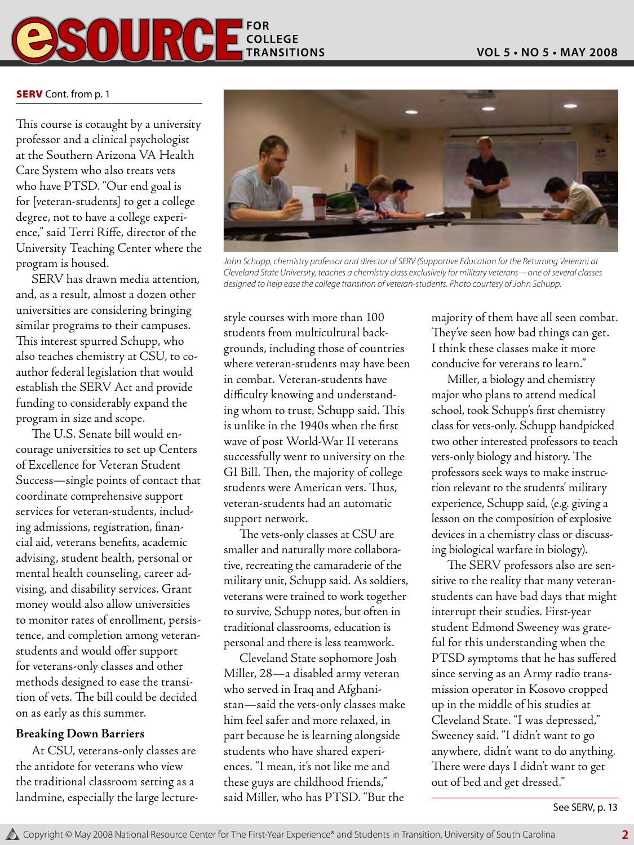

#### **SERV** Cont. from p. 1

This course is cotaught by a university professor and a clinical psychologist at the Southern Arizona VA Health Care System who also treats vets who have PTSD. "Our end goal is for [veteran-students] to get a college degree, not to have a college experience," said Terri Riffe, director of the University Teaching Center where the program is housed.

SERV has drawn media attention, and, as a result, almost a dozen other universities are considering bringing similar programs to their campuses. This interest spurred Schupp, who also teaches chemistry at CSU, to coauthor federal legislation that would establish the SERV Act and provide funding to considerably expand the program in size and scope.

The U.S. Senate bill would encourage universities to set up Centers of Excellence for Veteran Student Success—single points of contact that coordinate comprehensive support services for veteran-students, including admissions, registration, financial aid, veterans benefits, academic advising, student health, personal or mental health counseling, career advising, and disability services. Grant money would also allow universities to monitor rates of enrollment, persistence, and completion among veteranstudents and would offer support for veterans-only classes and other methods designed to ease the transition of vets. The bill could be decided on as early as this summer.

#### **Breaking Down Barriers**

At CSU, veterans-only classes are the antidote for veterans who view the traditional classroom setting as a landmine, especially the large lecture-



*John Schupp, chemistry professor and director of SERV (Supportive Education for the Returning Veteran) at Cleveland State University, teaches a chemistry class exclusively for military veterans—one of several classes designed to help ease the college transition of veteran-students. Photo courtesy of John Schupp.*

style courses with more than 100 students from multicultural backgrounds, including those of countries where veteran-students may have been in combat. Veteran-students have difficulty knowing and understanding whom to trust, Schupp said. This is unlike in the 1940s when the first wave of post World-War II veterans successfully went to university on the GI Bill. Then, the majority of college students were American vets. Thus, veteran-students had an automatic support network.

The vets-only classes at CSU are smaller and naturally more collaborative, recreating the camaraderie of the military unit, Schupp said. As soldiers, veterans were trained to work together to survive, Schupp notes, but often in traditional classrooms, education is personal and there is less teamwork.

Cleveland State sophomore Josh Miller, 28—a disabled army veteran who served in Iraq and Afghanistan—said the vets-only classes make him feel safer and more relaxed, in part because he is learning alongside students who have shared experiences. "I mean, it's not like me and these guys are childhood friends," said Miller, who has PTSD. "But the

majority of them have all seen combat. They've seen how bad things can get. I think these classes make it more conducive for veterans to learn."

Miller, a biology and chemistry major who plans to attend medical school, took Schupp's first chemistry class for vets-only. Schupp handpicked two other interested professors to teach vets-only biology and history. The professors seek ways to make instruction relevant to the students' military experience, Schupp said, (e.g. giving a lesson on the composition of explosive devices in a chemistry class or discussing biological warfare in biology).

The SERV professors also are sensitive to the reality that many veteranstudents can have bad days that might interrupt their studies. First-year student Edmond Sweeney was grateful for this understanding when the PTSD symptoms that he has suffered since serving as an Army radio transmission operator in Kosovo cropped up in the middle of his studies at Cleveland State. "I was depressed," Sweeney said. "I didn't want to go anywhere, didn't want to do anything. There were days I didn't want to get out of bed and get dressed."

See SERV, p. 13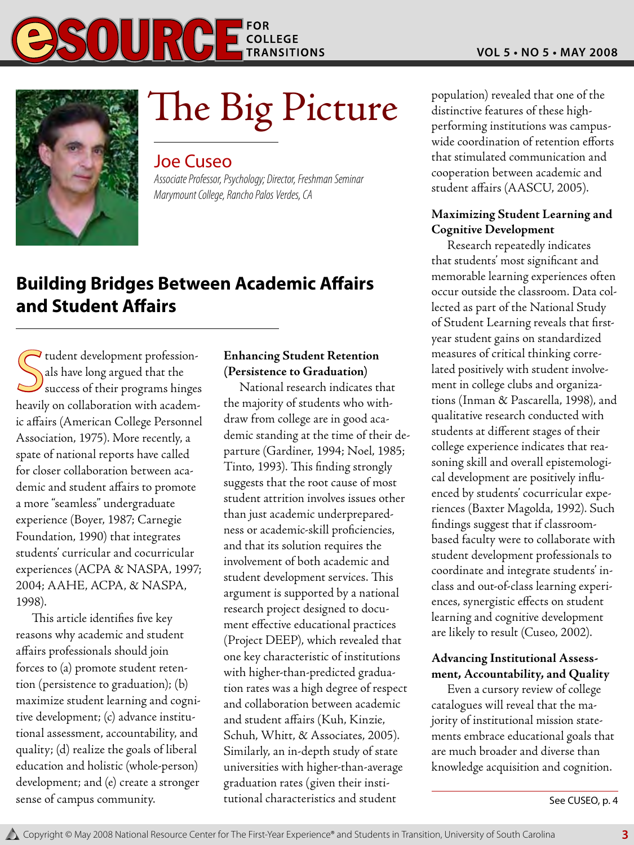

# $\sum$ he  $\sum$ ig Picture population) revealed that one of the distinctive features of these high-

#### Joe Cuseo

*Associate Professor, Psychology; Director, Freshman Seminar Marymount College, Rancho Palos Verdes, CA*

## **Building Bridges Between Academic Affairs and Student Affairs**

Succession-<br>Sals have long argued that the<br>success of their programs hinges  $\blacktriangleright$  tudent development professionals have long argued that the heavily on collaboration with academic affairs (American College Personnel Association, 1975). More recently, a spate of national reports have called for closer collaboration between academic and student affairs to promote a more "seamless" undergraduate experience (Boyer, 1987; Carnegie Foundation, 1990) that integrates students' curricular and cocurricular experiences (ACPA & NASPA, 1997; 2004; AAHE, ACPA, & NASPA, 1998).

This article identifies five key reasons why academic and student affairs professionals should join forces to (a) promote student retention (persistence to graduation); (b) maximize student learning and cognitive development; (c) advance institutional assessment, accountability, and quality; (d) realize the goals of liberal education and holistic (whole-person) development; and (e) create a stronger sense of campus community.

#### **Enhancing Student Retention (Persistence to Graduation)**

National research indicates that the majority of students who withdraw from college are in good academic standing at the time of their departure (Gardiner, 1994; Noel, 1985; Tinto, 1993). This finding strongly suggests that the root cause of most student attrition involves issues other than just academic underpreparedness or academic-skill proficiencies, and that its solution requires the involvement of both academic and student development services. This argument is supported by a national research project designed to document effective educational practices (Project DEEP), which revealed that one key characteristic of institutions with higher-than-predicted graduation rates was a high degree of respect and collaboration between academic and student affairs (Kuh, Kinzie, Schuh, Whitt, & Associates, 2005). Similarly, an in-depth study of state universities with higher-than-average graduation rates (given their institutional characteristics and student

distinctive features of these highperforming institutions was campuswide coordination of retention efforts that stimulated communication and cooperation between academic and student affairs (AASCU, 2005).

#### **Maximizing Student Learning and Cognitive Development**

Research repeatedly indicates that students' most significant and memorable learning experiences often occur outside the classroom. Data collected as part of the National Study of Student Learning reveals that firstyear student gains on standardized measures of critical thinking correlated positively with student involvement in college clubs and organizations (Inman & Pascarella, 1998), and qualitative research conducted with students at different stages of their college experience indicates that reasoning skill and overall epistemological development are positively influenced by students' cocurricular experiences (Baxter Magolda, 1992). Such findings suggest that if classroombased faculty were to collaborate with student development professionals to coordinate and integrate students' inclass and out-of-class learning experiences, synergistic effects on student learning and cognitive development are likely to result (Cuseo, 2002).

#### **Advancing Institutional Assessment, Accountability, and Quality**

Even a cursory review of college catalogues will reveal that the majority of institutional mission statements embrace educational goals that are much broader and diverse than knowledge acquisition and cognition.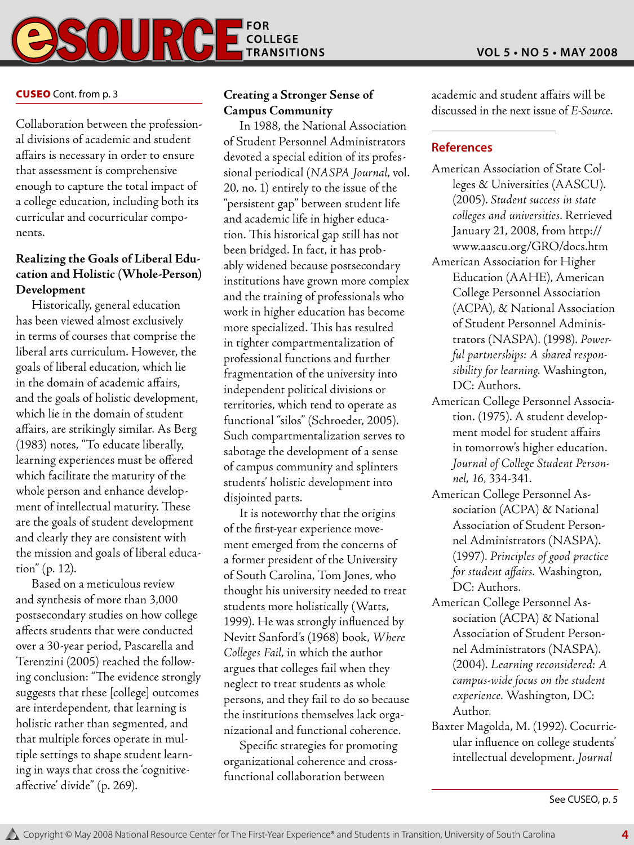

#### Cuseo Cont. from p. 3

Collaboration between the professional divisions of academic and student affairs is necessary in order to ensure that assessment is comprehensive enough to capture the total impact of a college education, including both its curricular and cocurricular components.

#### **Realizing the Goals of Liberal Education and Holistic (Whole-Person) Development**

Historically, general education has been viewed almost exclusively in terms of courses that comprise the liberal arts curriculum. However, the goals of liberal education, which lie in the domain of academic affairs, and the goals of holistic development, which lie in the domain of student affairs, are strikingly similar. As Berg (1983) notes, "To educate liberally, learning experiences must be offered which facilitate the maturity of the whole person and enhance development of intellectual maturity. These are the goals of student development and clearly they are consistent with the mission and goals of liberal education" (p. 12).

Based on a meticulous review and synthesis of more than 3,000 postsecondary studies on how college affects students that were conducted over a 30-year period, Pascarella and Terenzini (2005) reached the following conclusion: "The evidence strongly suggests that these [college] outcomes are interdependent, that learning is holistic rather than segmented, and that multiple forces operate in multiple settings to shape student learning in ways that cross the 'cognitiveaffective' divide" (p. 269).

#### **Creating a Stronger Sense of Campus Community**

In 1988, the National Association of Student Personnel Administrators devoted a special edition of its professional periodical (*NASPA Journal*, vol. 20, no. 1) entirely to the issue of the "persistent gap" between student life and academic life in higher education. This historical gap still has not been bridged. In fact, it has probably widened because postsecondary institutions have grown more complex and the training of professionals who work in higher education has become more specialized. This has resulted in tighter compartmentalization of professional functions and further fragmentation of the university into independent political divisions or territories, which tend to operate as functional "silos" (Schroeder, 2005). Such compartmentalization serves to sabotage the development of a sense of campus community and splinters students' holistic development into disjointed parts.

It is noteworthy that the origins of the first-year experience movement emerged from the concerns of a former president of the University of South Carolina, Tom Jones, who thought his university needed to treat students more holistically (Watts, 1999). He was strongly influenced by Nevitt Sanford's (1968) book, *Where Colleges Fail*, in which the author argues that colleges fail when they neglect to treat students as whole persons, and they fail to do so because the institutions themselves lack organizational and functional coherence.

Specific strategies for promoting organizational coherence and crossfunctional collaboration between

academic and student affairs will be discussed in the next issue of *E-Source*.

#### **References**

- American Association of State Colleges & Universities (AASCU). (2005). *Student success in state colleges and universities*. Retrieved January 21, 2008, from http:// www.aascu.org/GRO/docs.htm
- American Association for Higher Education (AAHE), American College Personnel Association (ACPA), & National Association of Student Personnel Administrators (NASPA). (1998). *Powerful partnerships: A shared responsibility for learning*. Washington, DC: Authors.
- American College Personnel Association. (1975). A student development model for student affairs in tomorrow's higher education. *Journal of College Student Personnel, 16,* 334-341.
- American College Personnel Association (ACPA) & National Association of Student Personnel Administrators (NASPA). (1997). *Principles of good practice for student affairs.* Washington, DC: Authors.
- American College Personnel Association (ACPA) & National Association of Student Personnel Administrators (NASPA). (2004). *Learning reconsidered: A campus-wide focus on the student experience.* Washington, DC: Author.
- Baxter Magolda, M. (1992). Cocurricular influence on college students' intellectual development. *Journal*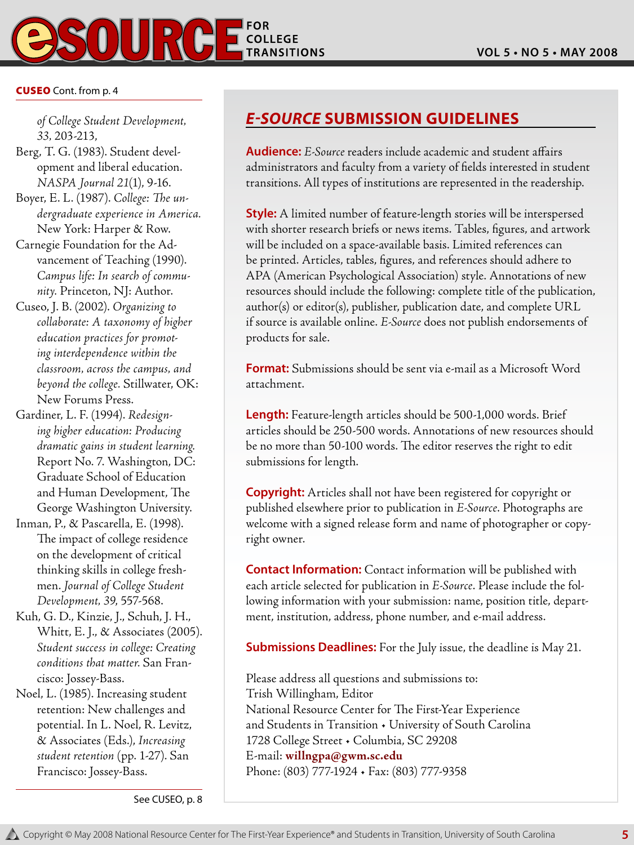

#### Cuseo Cont. from p. 4

*of College Student Development, 33,* 203-213,

- Berg, T. G. (1983). Student development and liberal education. *NASPA Journal 21*(1), 9-16.
- Boyer, E. L. (1987). *College: The undergraduate experience in America.* New York: Harper & Row.
- Carnegie Foundation for the Advancement of Teaching (1990). *Campus life: In search of community.* Princeton, NJ: Author.
- Cuseo, J. B. (2002). *Organizing to collaborate: A taxonomy of higher education practices for promoting interdependence within the classroom, across the campus, and beyond the college.* Stillwater, OK: New Forums Press.
- Gardiner, L. F. (1994). *Redesigning higher education: Producing dramatic gains in student learning.* Report No. 7. Washington, DC: Graduate School of Education and Human Development, The George Washington University.
- Inman, P., & Pascarella, E. (1998). The impact of college residence on the development of critical thinking skills in college freshmen. *Journal of College Student Development, 39*, 557-568.
- Kuh, G. D., Kinzie, J., Schuh, J. H., Whitt, E. J., & Associates (2005). *Student success in college: Creating conditions that matter.* San Francisco: Jossey-Bass.
- Noel, L. (1985). Increasing student retention: New challenges and potential. In L. Noel, R. Levitz, & Associates (Eds.), *Increasing student retention* (pp. 1-27). San Francisco: Jossey-Bass.

#### *E-Source* **Submission Guidelines**

**Audience:** *E-Source* readers include academic and student affairs administrators and faculty from a variety of fields interested in student transitions. All types of institutions are represented in the readership.

**Style:** A limited number of feature-length stories will be interspersed with shorter research briefs or news items. Tables, figures, and artwork will be included on a space-available basis. Limited references can be printed. Articles, tables, figures, and references should adhere to APA (American Psychological Association) style. Annotations of new resources should include the following: complete title of the publication, author(s) or editor(s), publisher, publication date, and complete URL if source is available online. *E-Source* does not publish endorsements of products for sale.

**Format:** Submissions should be sent via e-mail as a Microsoft Word attachment.

**Length:** Feature-length articles should be 500-1,000 words. Brief articles should be 250-500 words. Annotations of new resources should be no more than 50-100 words. The editor reserves the right to edit submissions for length.

**Copyright:** Articles shall not have been registered for copyright or published elsewhere prior to publication in *E-Source*. Photographs are welcome with a signed release form and name of photographer or copyright owner.

**Contact Information:** Contact information will be published with each article selected for publication in *E-Source*. Please include the following information with your submission: name, position title, department, institution, address, phone number, and e-mail address.

**Submissions Deadlines:** For the July issue, the deadline is May 21.

Please address all questions and submissions to: Trish Willingham, Editor National Resource Center for The First-Year Experience and Students in Transition • University of South Carolina 1728 College Street • Columbia, SC 29208 E-mail: **willngpa@gwm.sc.edu** Phone: (803) 777-1924 • Fax: (803) 777-9358

See CUSEO, p. 8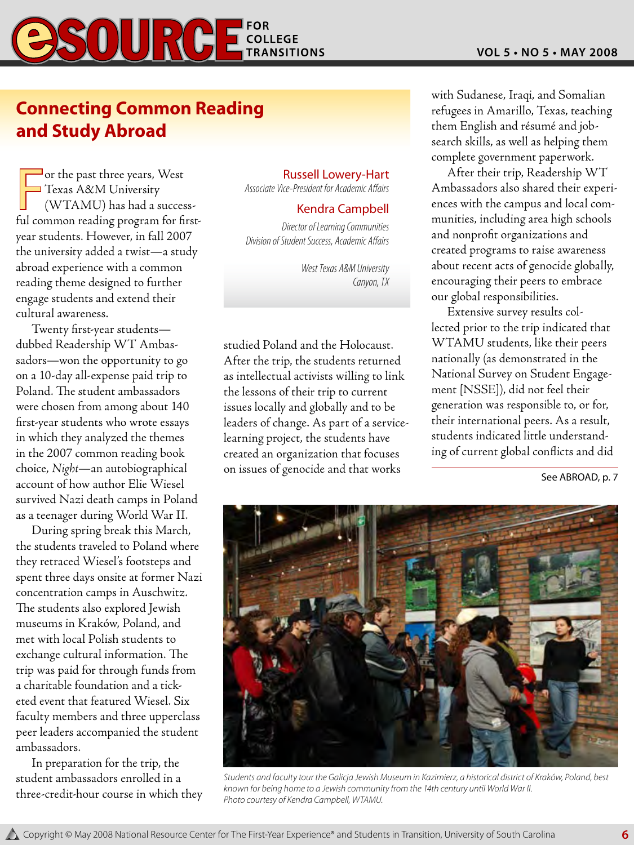

## **Connecting Common Reading and Study Abroad**

or the past three years, West<br>Texas A&M University<br>(WTAMU) has had a success-<br>ful common reading program for firstor the past three years, West Texas A&M University (WTAMU) has had a successyear students. However, in fall 2007 the university added a twist—a study abroad experience with a common reading theme designed to further engage students and extend their cultural awareness.

Twenty first-year students dubbed Readership WT Ambassadors—won the opportunity to go on a 10-day all-expense paid trip to Poland. The student ambassadors were chosen from among about 140 first-year students who wrote essays in which they analyzed the themes in the 2007 common reading book choice, *Night*—an autobiographical account of how author Elie Wiesel survived Nazi death camps in Poland as a teenager during World War II.

During spring break this March, the students traveled to Poland where they retraced Wiesel's footsteps and spent three days onsite at former Nazi concentration camps in Auschwitz. The students also explored Jewish museums in Kraków, Poland, and met with local Polish students to exchange cultural information. The trip was paid for through funds from a charitable foundation and a ticketed event that featured Wiesel. Six faculty members and three upperclass peer leaders accompanied the student ambassadors.

In preparation for the trip, the student ambassadors enrolled in a three-credit-hour course in which they

#### Russell Lowery-Hart

*Associate Vice-President for Academic Affairs*

#### Kendra Campbell

*Director of Learning Communities Division of Student Success, Academic Affairs*

> *West Texas A&M University Canyon, TX*

studied Poland and the Holocaust. After the trip, the students returned as intellectual activists willing to link the lessons of their trip to current issues locally and globally and to be leaders of change. As part of a servicelearning project, the students have created an organization that focuses on issues of genocide and that works

with Sudanese, Iraqi, and Somalian refugees in Amarillo, Texas, teaching them English and résumé and jobsearch skills, as well as helping them complete government paperwork.

After their trip, Readership WT Ambassadors also shared their experiences with the campus and local communities, including area high schools and nonprofit organizations and created programs to raise awareness about recent acts of genocide globally, encouraging their peers to embrace our global responsibilities.

Extensive survey results collected prior to the trip indicated that WTAMU students, like their peers nationally (as demonstrated in the National Survey on Student Engagement [NSSE]), did not feel their generation was responsible to, or for, their international peers. As a result, students indicated little understanding of current global conflicts and did

See ABROAD, p. 7



*Students and faculty tour the Galicja Jewish Museum in Kazimierz, a historical district of Kraków, Poland, best known for being home to a Jewish community from the 14th century until World War II. Photo courtesy of Kendra Campbell, WTAMU.*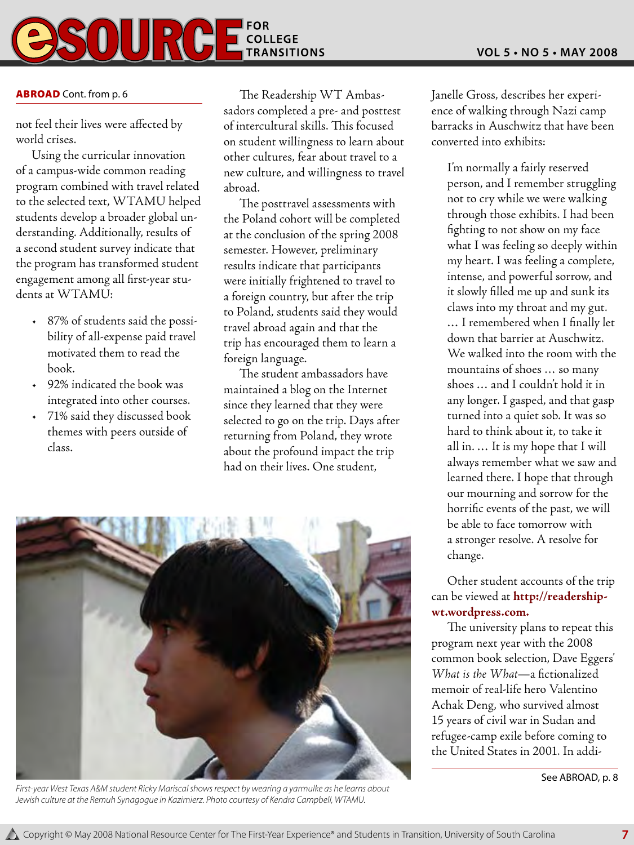

#### **ABROAD** Cont. from p. 6

not feel their lives were affected by world crises.

Using the curricular innovation of a campus-wide common reading program combined with travel related to the selected text, WTAMU helped students develop a broader global understanding. Additionally, results of a second student survey indicate that the program has transformed student engagement among all first-year students at WTAMU:

- 87% of students said the possibility of all-expense paid travel motivated them to read the book.
- 92% indicated the book was integrated into other courses.
- 71% said they discussed book themes with peers outside of class.

The Readership WT Ambassadors completed a pre- and posttest of intercultural skills. This focused on student willingness to learn about other cultures, fear about travel to a new culture, and willingness to travel abroad.

The posttravel assessments with the Poland cohort will be completed at the conclusion of the spring 2008 semester. However, preliminary results indicate that participants were initially frightened to travel to a foreign country, but after the trip to Poland, students said they would travel abroad again and that the trip has encouraged them to learn a foreign language.

The student ambassadors have maintained a blog on the Internet since they learned that they were selected to go on the trip. Days after returning from Poland, they wrote about the profound impact the trip had on their lives. One student,



*First-year West Texas A&M student Ricky Mariscal shows respect by wearing a yarmulke as he learns about Jewish culture at the Remuh Synagogue in Kazimierz. Photo courtesy of Kendra Campbell, WTAMU.*

Janelle Gross, describes her experience of walking through Nazi camp barracks in Auschwitz that have been converted into exhibits:

I'm normally a fairly reserved person, and I remember struggling not to cry while we were walking through those exhibits. I had been fighting to not show on my face what I was feeling so deeply within my heart. I was feeling a complete, intense, and powerful sorrow, and it slowly filled me up and sunk its claws into my throat and my gut. … I remembered when I finally let down that barrier at Auschwitz. We walked into the room with the mountains of shoes … so many shoes … and I couldn't hold it in any longer. I gasped, and that gasp turned into a quiet sob. It was so hard to think about it, to take it all in. … It is my hope that I will always remember what we saw and learned there. I hope that through our mourning and sorrow for the horrific events of the past, we will be able to face tomorrow with a stronger resolve. A resolve for change.

Other student accounts of the trip can be viewed at **http://readershipwt.wordpress.com.**

The university plans to repeat this program next year with the 2008 common book selection, Dave Eggers' *What is the What*—a fictionalized memoir of real-life hero Valentino Achak Deng, who survived almost 15 years of civil war in Sudan and refugee-camp exile before coming to the United States in 2001. In addi-

See ABROAD, p. 8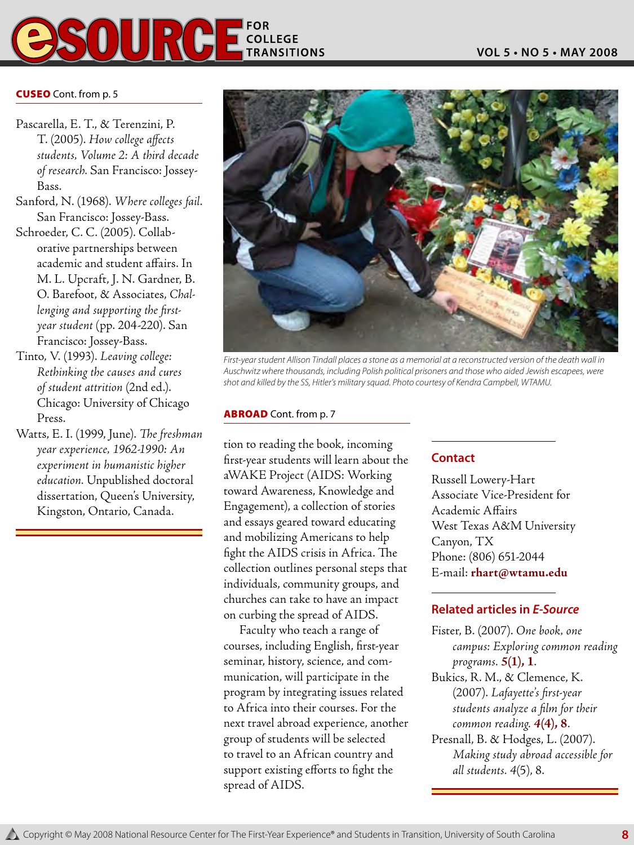

#### **CUSEO** Cont. from p. 5

- Pascarella, E. T., & Terenzini, P. T. (2005). *How college affects students, Volume 2: A third decade of research.* San Francisco: Jossey-Bass.
- Sanford, N. (1968). *Where colleges fail*. San Francisco: Jossey-Bass.
- Schroeder, C. C. (2005). Collaborative partnerships between academic and student affairs. In M. L. Upcraft, J. N. Gardner, B. O. Barefoot, & Associates, *Challenging and supporting the firstyear student* (pp. 204-220). San Francisco: Jossey-Bass.
- Tinto, V. (1993). *Leaving college: Rethinking the causes and cures of student attrition* (2nd ed.). Chicago: University of Chicago Press.
- Watts, E. I. (1999, June). *The freshman year experience, 1962-1990: An experiment in humanistic higher education.* Unpublished doctoral dissertation, Queen's University, Kingston, Ontario, Canada.



*First-year student Allison Tindall places a stone as a memorial at a reconstructed version of the death wall in Auschwitz where thousands, including Polish political prisoners and those who aided Jewish escapees, were shot and killed by the SS, Hitler's military squad. Photo courtesy of Kendra Campbell, WTAMU.*

#### ABROAD Cont. from p. 7

tion to reading the book, incoming first-year students will learn about the aWAKE Project (AIDS: Working toward Awareness, Knowledge and Engagement), a collection of stories and essays geared toward educating and mobilizing Americans to help fight the AIDS crisis in Africa. The collection outlines personal steps that individuals, community groups, and churches can take to have an impact on curbing the spread of AIDS.

Faculty who teach a range of courses, including English, first-year seminar, history, science, and communication, will participate in the program by integrating issues related to Africa into their courses. For the next travel abroad experience, another group of students will be selected to travel to an African country and support existing efforts to fight the spread of AIDS.

#### **Contact**

Russell Lowery-Hart Associate Vice-President for Academic Affairs West Texas A&M University Canyon, TX Phone: (806) 651-2044 E-mail: **rhart@wtamu.edu**

#### **Related articles in** *E-Source*

- Fister, B. (2007). *One book, one campus: Exploring common reading programs. 5***(1), 1**.
- Bukics, R. M., & Clemence, K. (2007). *Lafayette's first-year students analyze a film for their common reading. 4***(4), 8**.
- Presnall, B. & Hodges, L. (2007). *Making study abroad accessible for all students. 4*(5), 8.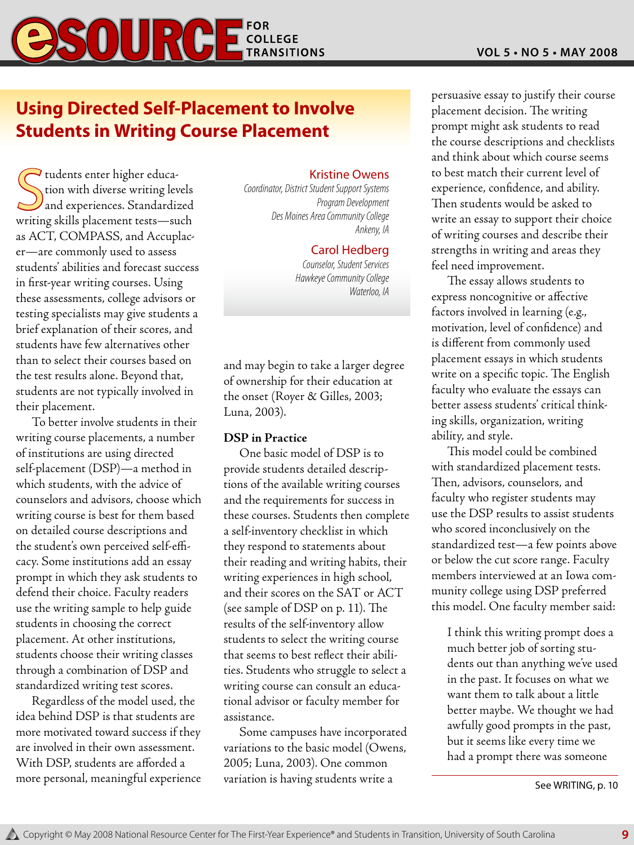## **Using Directed Self-Placement to Involve Students in Writing Course Placement**

 $\begin{tabular}{c} \hline \textbf{tudents enter higher educa-} \\ \textbf{tion with diverse writing levels} \\ \textbf{and experiences. Standardized} \\ \textbf{writing skills placement tests—such} \end{tabular}$  $\overline{\mathcal{L}}$  tudents enter higher education with diverse writing levels and experiences. Standardized as ACT, COMPASS, and Accuplacer—are commonly used to assess students' abilities and forecast success in first-year writing courses. Using these assessments, college advisors or testing specialists may give students a brief explanation of their scores, and students have few alternatives other than to select their courses based on the test results alone. Beyond that, students are not typically involved in their placement.

To better involve students in their writing course placements, a number of institutions are using directed self-placement (DSP)—a method in which students, with the advice of counselors and advisors, choose which writing course is best for them based on detailed course descriptions and the student's own perceived self-efficacy. Some institutions add an essay prompt in which they ask students to defend their choice. Faculty readers use the writing sample to help guide students in choosing the correct placement. At other institutions, students choose their writing classes through a combination of DSP and standardized writing test scores.

Regardless of the model used, the idea behind DSP is that students are more motivated toward success if they are involved in their own assessment. With DSP, students are afforded a more personal, meaningful experience

#### Kristine Owens

*Coordinator, District Student Support Systems Program Development Des Moines Area Community College Ankeny, IA* 

#### Carol Hedberg

*Counselor, Student Services Hawkeye Community College Waterloo, IA*

and may begin to take a larger degree of ownership for their education at the onset (Royer & Gilles, 2003; Luna, 2003).

#### **DSP in Practice**

One basic model of DSP is to provide students detailed descriptions of the available writing courses and the requirements for success in these courses. Students then complete a self-inventory checklist in which they respond to statements about their reading and writing habits, their writing experiences in high school, and their scores on the SAT or ACT (see sample of DSP on p. 11). The results of the self-inventory allow students to select the writing course that seems to best reflect their abilities. Students who struggle to select a writing course can consult an educational advisor or faculty member for assistance.

Some campuses have incorporated variations to the basic model (Owens, 2005; Luna, 2003). One common variation is having students write a

persuasive essay to justify their course placement decision. The writing prompt might ask students to read the course descriptions and checklists and think about which course seems to best match their current level of experience, confidence, and ability. Then students would be asked to write an essay to support their choice of writing courses and describe their strengths in writing and areas they feel need improvement.

The essay allows students to express noncognitive or affective factors involved in learning (e.g., motivation, level of confidence) and is different from commonly used placement essays in which students write on a specific topic. The English faculty who evaluate the essays can better assess students' critical thinking skills, organization, writing ability, and style.

This model could be combined with standardized placement tests. Then, advisors, counselors, and faculty who register students may use the DSP results to assist students who scored inconclusively on the standardized test—a few points above or below the cut score range. Faculty members interviewed at an Iowa community college using DSP preferred this model. One faculty member said:

I think this writing prompt does a much better job of sorting students out than anything we've used in the past. It focuses on what we want them to talk about a little better maybe. We thought we had awfully good prompts in the past, but it seems like every time we had a prompt there was someone

See WRITING, p. 10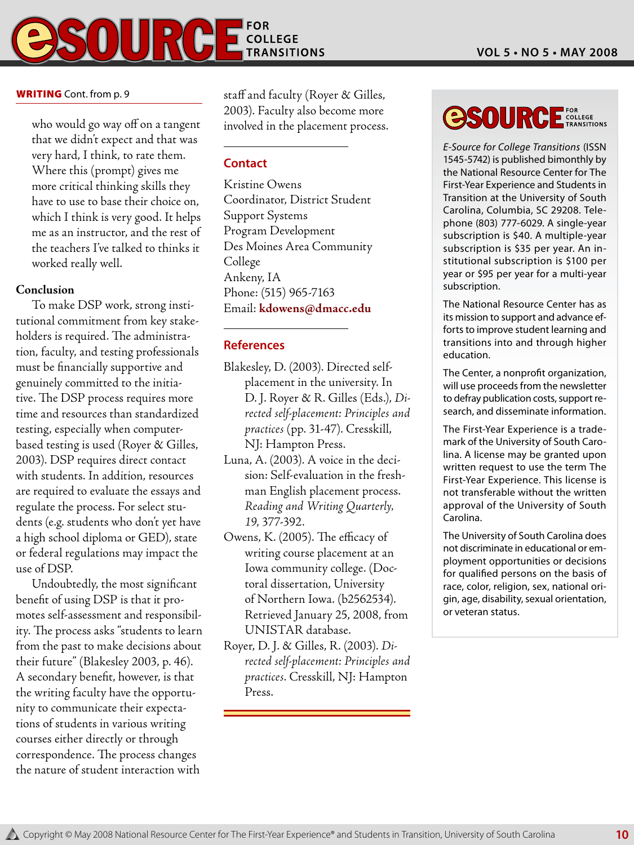

who would go way off on a tangent that we didn't expect and that was very hard, I think, to rate them. Where this (prompt) gives me more critical thinking skills they have to use to base their choice on, which I think is very good. It helps me as an instructor, and the rest of the teachers I've talked to thinks it worked really well.

#### **Conclusion**

To make DSP work, strong institutional commitment from key stakeholders is required. The administration, faculty, and testing professionals must be financially supportive and genuinely committed to the initiative. The DSP process requires more time and resources than standardized testing, especially when computerbased testing is used (Royer & Gilles, 2003). DSP requires direct contact with students. In addition, resources are required to evaluate the essays and regulate the process. For select students (e.g. students who don't yet have a high school diploma or GED), state or federal regulations may impact the use of DSP.

Undoubtedly, the most significant benefit of using DSP is that it promotes self-assessment and responsibility. The process asks "students to learn from the past to make decisions about their future" (Blakesley 2003, p. 46). A secondary benefit, however, is that the writing faculty have the opportunity to communicate their expectations of students in various writing courses either directly or through correspondence. The process changes the nature of student interaction with

staff and faculty (Royer & Gilles, 2003). Faculty also become more involved in the placement process.

#### **Contact**

Kristine Owens Coordinator, District Student Support Systems Program Development Des Moines Area Community College Ankeny, IA Phone: (515) 965-7163 Email: **kdowens@dmacc.edu**

#### **References**

- Blakesley, D. (2003). Directed selfplacement in the university. In D. J. Royer & R. Gilles (Eds.), *Directed self-placement: Principles and practices* (pp. 31-47). Cresskill, NJ: Hampton Press.
- Luna, A. (2003). A voice in the decision: Self-evaluation in the freshman English placement process. *Reading and Writing Quarterly, 19*, 377-392.
- Owens, K. (2005). The efficacy of writing course placement at an Iowa community college. (Doctoral dissertation, University of Northern Iowa. (b2562534). Retrieved January 25, 2008, from UNISTAR database.
- Royer, D. J. & Gilles, R. (2003). *Directed self-placement: Principles and practices*. Cresskill, NJ: Hampton Press.

## **OSOURCE** FOR COLLEGE

*E-Source for College Transitions* (ISSN 1545-5742) is published bimonthly by the National Resource Center for The First-Year Experience and Students in Transition at the University of South Carolina, Columbia, SC 29208. Telephone (803) 777-6029. A single-year subscription is \$40. A multiple-year subscription is \$35 per year. An institutional subscription is \$100 per year or \$95 per year for a multi-year subscription.

The National Resource Center has as its mission to support and advance efforts to improve student learning and transitions into and through higher education.

The Center, a nonprofit organization, will use proceeds from the newsletter to defray publication costs, support research, and disseminate information.

The First-Year Experience is a trademark of the University of South Carolina. A license may be granted upon written request to use the term The First-Year Experience. This license is not transferable without the written approval of the University of South Carolina.

The University of South Carolina does not discriminate in educational or employment opportunities or decisions for qualified persons on the basis of race, color, religion, sex, national origin, age, disability, sexual orientation, or veteran status.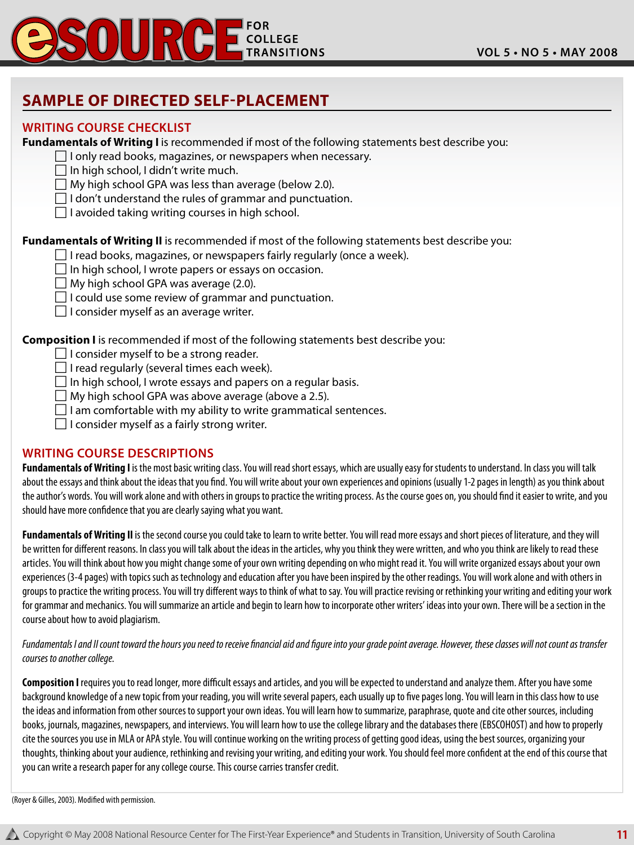

### **Sample of Directed Self-Placement**

#### **Writing Course Checklist**

**Fundamentals of Writing I** is recommended if most of the following statements best describe you:

- $\Box$  I only read books, magazines, or newspapers when necessary.
- $\Box$  In high school, I didn't write much.
- $\Box$  My high school GPA was less than average (below 2.0).
- $\Box$  I don't understand the rules of grammar and punctuation.
- $\Box$  I avoided taking writing courses in high school.

**Fundamentals of Writing II** is recommended if most of the following statements best describe you:

- $\Box$  I read books, magazines, or newspapers fairly regularly (once a week).
- $\Box$  In high school, I wrote papers or essays on occasion.
- $\Box$  My high school GPA was average (2.0).
- $\Box$  I could use some review of grammar and punctuation.
- $\Box$  I consider myself as an average writer.

**Composition I** is recommended if most of the following statements best describe you:

- $\Box$  I consider myself to be a strong reader.
- $\Box$  I read regularly (several times each week).
- $\Box$  In high school, I wrote essays and papers on a regular basis.
- $\Box$  My high school GPA was above average (above a 2.5).
- $\Box$  I am comfortable with my ability to write grammatical sentences.
- $\Box$  I consider myself as a fairly strong writer.

#### **Writing Course Descriptions**

**Fundamentals of Writing I** is the most basic writing class. You will read short essays, which are usually easy for students to understand. In class you will talk about the essays and think about the ideas that you find. You will write about your own experiences and opinions (usually 1-2 pages in length) as you think about the author's words. You will work alone and with others in groups to practice the writing process. As the course goes on, you should find it easier to write, and you should have more confidence that you are clearly saying what you want.

**Fundamentals of Writing II** is the second course you could take to learn to write better. You will read more essays and short pieces of literature, and they will be written for different reasons. In class you will talk about the ideas in the articles, why you think they were written, and who you think are likely to read these articles. You will think about how you might change some of your own writing depending on who might read it. You will write organized essays about your own experiences (3-4 pages) with topics such as technology and education after you have been inspired by the other readings. You will work alone and with others in groups to practice the writing process. You will try different ways to think of what to say. You will practice revising or rethinking your writing and editing your work for grammar and mechanics. You will summarize an article and begin to learn how to incorporate other writers' ideas into your own. There will be a section in the course about how to avoid plagiarism.

*Fundamentals I and II count toward the hours you need to receive financial aid and figure into your grade point average. However, these classes will not count as transfer courses to another college.*

**Composition I** requires you to read longer, more difficult essays and articles, and you will be expected to understand and analyze them. After you have some background knowledge of a new topic from your reading, you will write several papers, each usually up to five pages long. You will learn in this class how to use the ideas and information from other sources to support your own ideas. You will learn how to summarize, paraphrase, quote and cite other sources, including books, journals, magazines, newspapers, and interviews. You will learn how to use the college library and the databases there (EBSCOHOST) and how to properly cite the sources you use in MLA or APA style. You will continue working on the writing process of getting good ideas, using the best sources, organizing your thoughts, thinking about your audience, rethinking and revising your writing, and editing your work. You should feel more confident at the end of this course that you can write a research paper for any college course. This course carries transfer credit.

(Royer & Gilles, 2003). Modified with permission.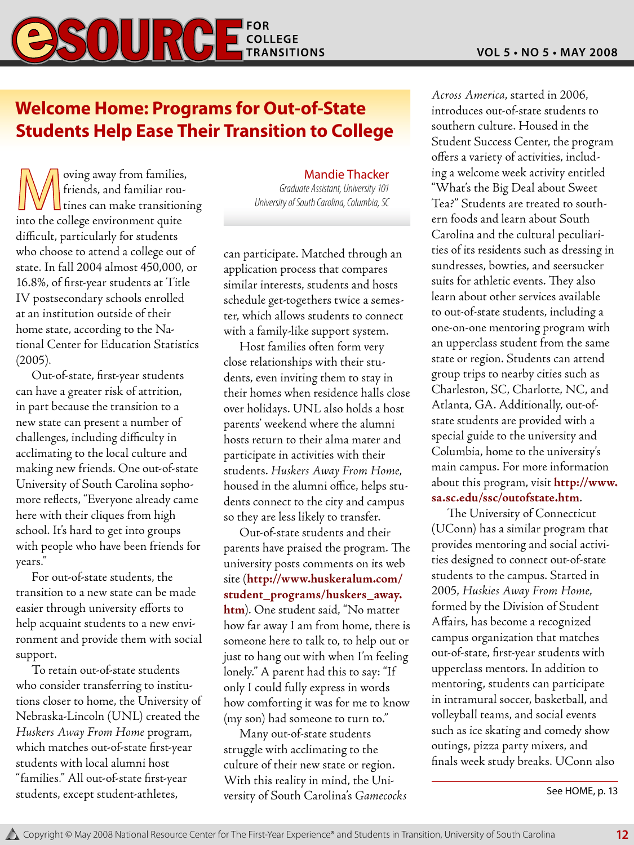## **Welcome Home: Programs for Out-of-State Students Help Ease Their Transition to College**

Woving away from families,<br>
friends, and familiar rou-<br>
tines can make transitioni friends, and familiar rou- $\Box$  tines can make transitioning into the college environment quite difficult, particularly for students who choose to attend a college out of state. In fall 2004 almost 450,000, or 16.8%, of first-year students at Title IV postsecondary schools enrolled at an institution outside of their home state, according to the National Center for Education Statistics (2005).

Out-of-state, first-year students can have a greater risk of attrition, in part because the transition to a new state can present a number of challenges, including difficulty in acclimating to the local culture and making new friends. One out-of-state University of South Carolina sophomore reflects, "Everyone already came here with their cliques from high school. It's hard to get into groups with people who have been friends for years."

For out-of-state students, the transition to a new state can be made easier through university efforts to help acquaint students to a new environment and provide them with social support.

To retain out-of-state students who consider transferring to institutions closer to home, the University of Nebraska-Lincoln (UNL) created the *Huskers Away From Home* program, which matches out-of-state first-year students with local alumni host "families." All out-of-state first-year students, except student-athletes,

Mandie Thacker

*Graduate Assistant, University 101 University of South Carolina, Columbia, SC*

can participate. Matched through an application process that compares similar interests, students and hosts schedule get-togethers twice a semester, which allows students to connect with a family-like support system.

Host families often form very close relationships with their students, even inviting them to stay in their homes when residence halls close over holidays. UNL also holds a host parents' weekend where the alumni hosts return to their alma mater and participate in activities with their students. *Huskers Away From Home*, housed in the alumni office, helps students connect to the city and campus so they are less likely to transfer.

Out-of-state students and their parents have praised the program. The university posts comments on its web site (**http://www.huskeralum.com/ student\_programs/huskers\_away. htm**). One student said, "No matter how far away I am from home, there is someone here to talk to, to help out or just to hang out with when I'm feeling lonely." A parent had this to say: "If only I could fully express in words how comforting it was for me to know (my son) had someone to turn to."

Many out-of-state students struggle with acclimating to the culture of their new state or region. With this reality in mind, the University of South Carolina's *Gamecocks* 

*Across America*, started in 2006, introduces out-of-state students to southern culture. Housed in the Student Success Center, the program offers a variety of activities, including a welcome week activity entitled "What's the Big Deal about Sweet Tea?" Students are treated to southern foods and learn about South Carolina and the cultural peculiarities of its residents such as dressing in sundresses, bowties, and seersucker suits for athletic events. They also learn about other services available to out-of-state students, including a one-on-one mentoring program with an upperclass student from the same state or region. Students can attend group trips to nearby cities such as Charleston, SC, Charlotte, NC, and Atlanta, GA. Additionally, out-ofstate students are provided with a special guide to the university and Columbia, home to the university's main campus. For more information about this program, visit **http://www. sa.sc.edu/ssc/outofstate.htm**.

The University of Connecticut (UConn) has a similar program that provides mentoring and social activities designed to connect out-of-state students to the campus. Started in 2005, *Huskies Away From Home*, formed by the Division of Student Affairs, has become a recognized campus organization that matches out-of-state, first-year students with upperclass mentors. In addition to mentoring, students can participate in intramural soccer, basketball, and volleyball teams, and social events such as ice skating and comedy show outings, pizza party mixers, and finals week study breaks. UConn also

See HOME, p. 13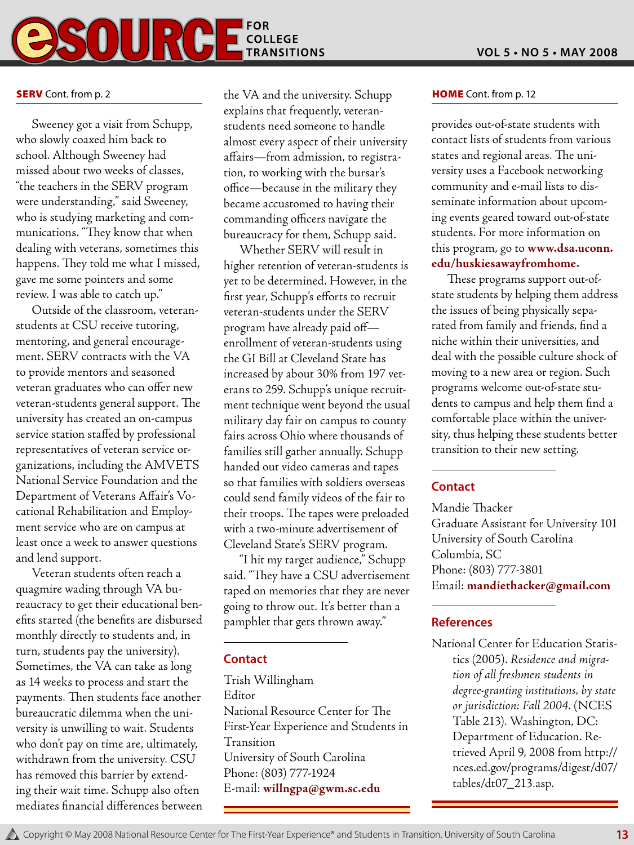

#### **SERV** Cont. from p. 2

Sweeney got a visit from Schupp, who slowly coaxed him back to school. Although Sweeney had missed about two weeks of classes, "the teachers in the SERV program were understanding," said Sweeney, who is studying marketing and communications. "They know that when dealing with veterans, sometimes this happens. They told me what I missed, gave me some pointers and some review. I was able to catch up."

Outside of the classroom, veteranstudents at CSU receive tutoring, mentoring, and general encouragement. SERV contracts with the VA to provide mentors and seasoned veteran graduates who can offer new veteran-students general support. The university has created an on-campus service station staffed by professional representatives of veteran service organizations, including the AMVETS National Service Foundation and the Department of Veterans Affair's Vocational Rehabilitation and Employment service who are on campus at least once a week to answer questions and lend support.

Veteran students often reach a quagmire wading through VA bureaucracy to get their educational benefits started (the benefits are disbursed monthly directly to students and, in turn, students pay the university). Sometimes, the VA can take as long as 14 weeks to process and start the payments. Then students face another bureaucratic dilemma when the university is unwilling to wait. Students who don't pay on time are, ultimately, withdrawn from the university. CSU has removed this barrier by extending their wait time. Schupp also often mediates financial differences between

the VA and the university. Schupp **HOME** Cont. from p. 12 explains that frequently, veteranstudents need someone to handle almost every aspect of their university affairs—from admission, to registration, to working with the bursar's office—because in the military they became accustomed to having their commanding officers navigate the bureaucracy for them, Schupp said.

Whether SERV will result in higher retention of veteran-students is yet to be determined. However, in the first year, Schupp's efforts to recruit veteran-students under the SERV program have already paid off enrollment of veteran-students using the GI Bill at Cleveland State has increased by about 30% from 197 veterans to 259. Schupp's unique recruitment technique went beyond the usual military day fair on campus to county fairs across Ohio where thousands of families still gather annually. Schupp handed out video cameras and tapes so that families with soldiers overseas could send family videos of the fair to their troops. The tapes were preloaded with a two-minute advertisement of Cleveland State's SERV program.

"I hit my target audience," Schupp said. "They have a CSU advertisement taped on memories that they are never going to throw out. It's better than a pamphlet that gets thrown away."

#### **Contact**

Trish Willingham Editor National Resource Center for The First-Year Experience and Students in Transition University of South Carolina Phone: (803) 777-1924 E-mail: **willngpa@gwm.sc.edu**

provides out-of-state students with contact lists of students from various states and regional areas. The university uses a Facebook networking community and e-mail lists to disseminate information about upcoming events geared toward out-of-state students. For more information on this program, go to **www.dsa.uconn. edu/huskiesawayfromhome.**

These programs support out-ofstate students by helping them address the issues of being physically separated from family and friends, find a niche within their universities, and deal with the possible culture shock of moving to a new area or region. Such programs welcome out-of-state students to campus and help them find a comfortable place within the university, thus helping these students better transition to their new setting.

#### **Contact**

Mandie Thacker Graduate Assistant for University 101 University of South Carolina Columbia, SC Phone: (803) 777-3801 Email: **mandiethacker@gmail.com**

#### **References**

National Center for Education Statistics (2005). *Residence and migration of all freshmen students in degree-granting institutions, by state or jurisdiction: Fall 2004*. (NCES Table 213). Washington, DC: Department of Education. Retrieved April 9, 2008 from http:// nces.ed.gov/programs/digest/d07/ tables/dt07\_213.asp.